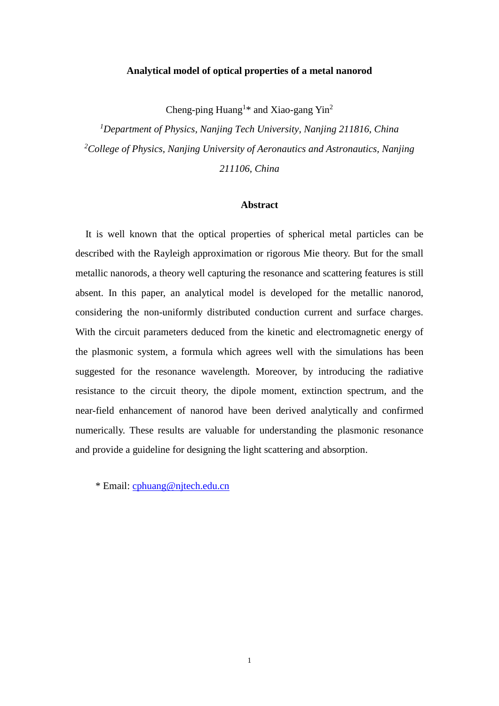# **Analytical model of optical properties of a metal nanorod**

Cheng-ping Huang<sup>1\*</sup> and Xiao-gang Yin<sup>2</sup>

*<sup>1</sup>Department of Physics, Nanjing Tech University, Nanjing 211816, China <sup>2</sup>College of Physics, Nanjing University of Aeronautics and Astronautics, Nanjing 211106, China*

#### **Abstract**

 It is well known that the optical properties of spherical metal particles can be described with the Rayleigh approximation or rigorous Mie theory. But for the small metallic nanorods, a theory well capturing the resonance and scattering features is still absent. In this paper, an analytical model is developed for the metallic nanorod, considering the non-uniformly distributed conduction current and surface charges. With the circuit parameters deduced from the kinetic and electromagnetic energy of the plasmonic system, a formula which agrees well with the simulations has been suggested for the resonance wavelength. Moreover, by introducing the radiative resistance to the circuit theory, the dipole moment, extinction spectrum, and the near-field enhancement of nanorod have been derived analytically and confirmed numerically. These results are valuable for understanding the plasmonic resonance and provide a guideline for designing the light scattering and absorption.

\* Email: [cphuang@njtech.edu.cn](mailto:cphuang@njtech.edu.cn)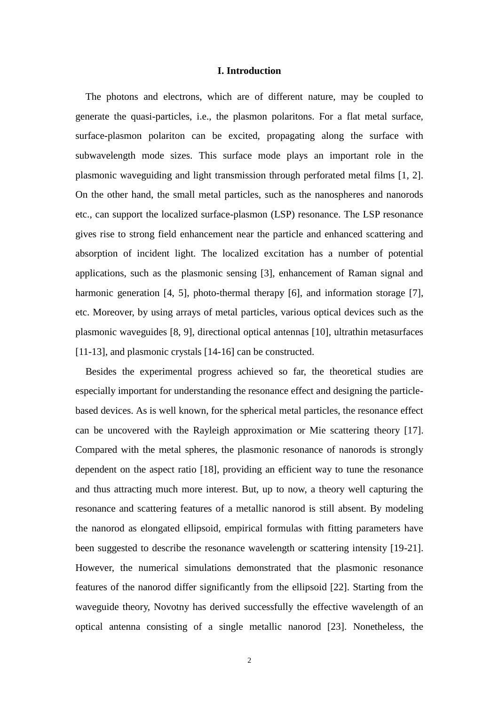# **I. Introduction**

The photons and electrons, which are of different nature, may be coupled to generate the quasi-particles, i.e., the plasmon polaritons. For a flat metal surface, surface-plasmon polariton can be excited, propagating along the surface with subwavelength mode sizes. This surface mode plays an important role in the plasmonic waveguiding and light transmission through perforated metal films [1, 2]. On the other hand, the small metal particles, such as the nanospheres and nanorods etc., can support the localized surface-plasmon (LSP) resonance. The LSP resonance gives rise to strong field enhancement near the particle and enhanced scattering and absorption of incident light. The localized excitation has a number of potential applications, such as the plasmonic sensing [3], enhancement of Raman signal and harmonic generation [4, 5], photo-thermal therapy [6], and information storage [7], etc. Moreover, by using arrays of metal particles, various optical devices such as the plasmonic waveguides [8, 9], directional optical antennas [10], ultrathin metasurfaces [11-13], and plasmonic crystals [14-16] can be constructed.

Besides the experimental progress achieved so far, the theoretical studies are especially important for understanding the resonance effect and designing the particlebased devices. As is well known, for the spherical metal particles, the resonance effect can be uncovered with the Rayleigh approximation or Mie scattering theory [17]. Compared with the metal spheres, the plasmonic resonance of nanorods is strongly dependent on the aspect ratio [18], providing an efficient way to tune the resonance and thus attracting much more interest. But, up to now, a theory well capturing the resonance and scattering features of a metallic nanorod is still absent. By modeling the nanorod as elongated ellipsoid, empirical formulas with fitting parameters have been suggested to describe the resonance wavelength or scattering intensity [19-21]. However, the numerical simulations demonstrated that the plasmonic resonance features of the nanorod differ significantly from the ellipsoid [22]. Starting from the waveguide theory, Novotny has derived successfully the effective wavelength of an optical antenna consisting of a single metallic nanorod [23]. Nonetheless, the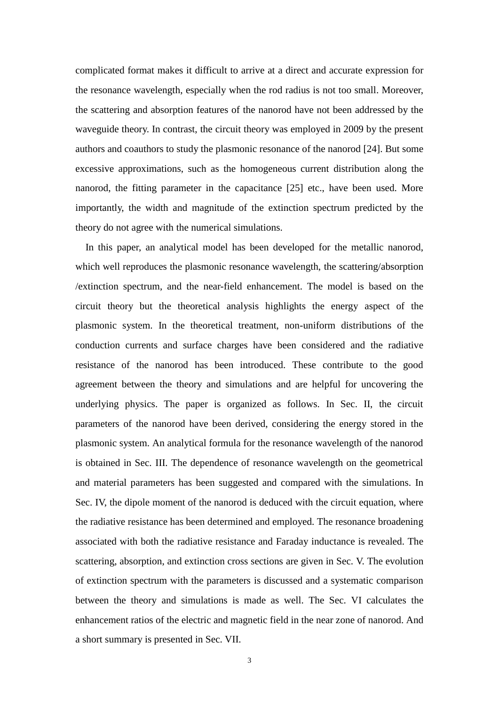complicated format makes it difficult to arrive at a direct and accurate expression for the resonance wavelength, especially when the rod radius is not too small. Moreover, the scattering and absorption features of the nanorod have not been addressed by the waveguide theory. In contrast, the circuit theory was employed in 2009 by the present authors and coauthors to study the plasmonic resonance of the nanorod [24]. But some excessive approximations, such as the homogeneous current distribution along the nanorod, the fitting parameter in the capacitance [25] etc., have been used. More importantly, the width and magnitude of the extinction spectrum predicted by the theory do not agree with the numerical simulations.

 In this paper, an analytical model has been developed for the metallic nanorod, which well reproduces the plasmonic resonance wavelength, the scattering/absorption /extinction spectrum, and the near-field enhancement. The model is based on the circuit theory but the theoretical analysis highlights the energy aspect of the plasmonic system. In the theoretical treatment, non-uniform distributions of the conduction currents and surface charges have been considered and the radiative resistance of the nanorod has been introduced. These contribute to the good agreement between the theory and simulations and are helpful for uncovering the underlying physics. The paper is organized as follows. In Sec. II, the circuit parameters of the nanorod have been derived, considering the energy stored in the plasmonic system. An analytical formula for the resonance wavelength of the nanorod is obtained in Sec. III. The dependence of resonance wavelength on the geometrical and material parameters has been suggested and compared with the simulations. In Sec. IV, the dipole moment of the nanorod is deduced with the circuit equation, where the radiative resistance has been determined and employed. The resonance broadening associated with both the radiative resistance and Faraday inductance is revealed. The scattering, absorption, and extinction cross sections are given in Sec. V. The evolution of extinction spectrum with the parameters is discussed and a systematic comparison between the theory and simulations is made as well. The Sec. VI calculates the enhancement ratios of the electric and magnetic field in the near zone of nanorod. And a short summary is presented in Sec. VII.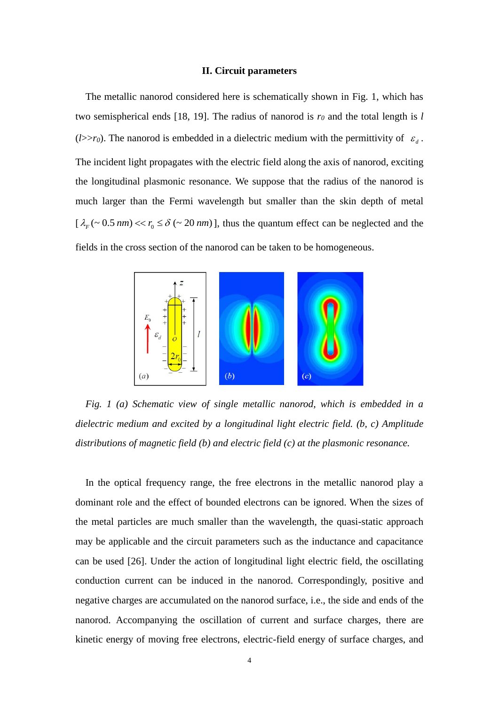### **II. Circuit parameters**

 The metallic nanorod considered here is schematically shown in Fig. 1, which has two semispherical ends [18, 19]. The radius of nanorod is  $r<sub>0</sub>$  and the total length is *l* (*l*> $\ge$ *r*<sub>0</sub>). The nanorod is embedded in a dielectric medium with the permittivity of  $\varepsilon$ <sub>d</sub>. The incident light propagates with the electric field along the axis of nanorod, exciting the longitudinal plasmonic resonance. We suppose that the radius of the nanorod is much larger than the Fermi wavelength but smaller than the skin depth of metal  $[\lambda_F(\sim 0.5 \text{ nm}) << r_0 \le \delta (\sim 20 \text{ nm})]$ , thus the quantum effect can be neglected and the fields in the cross section of the nanorod can be taken to be homogeneous.



*Fig. 1 (a) Schematic view of single metallic nanorod, which is embedded in a dielectric medium and excited by a longitudinal light electric field. (b, c) Amplitude distributions of magnetic field (b) and electric field (c) at the plasmonic resonance.*

 In the optical frequency range, the free electrons in the metallic nanorod play a dominant role and the effect of bounded electrons can be ignored. When the sizes of the metal particles are much smaller than the wavelength, the quasi-static approach may be applicable and the circuit parameters such as the inductance and capacitance can be used [26]. Under the action of longitudinal light electric field, the oscillating conduction current can be induced in the nanorod. Correspondingly, positive and negative charges are accumulated on the nanorod surface, i.e., the side and ends of the nanorod. Accompanying the oscillation of current and surface charges, there are kinetic energy of moving free electrons, electric-field energy of surface charges, and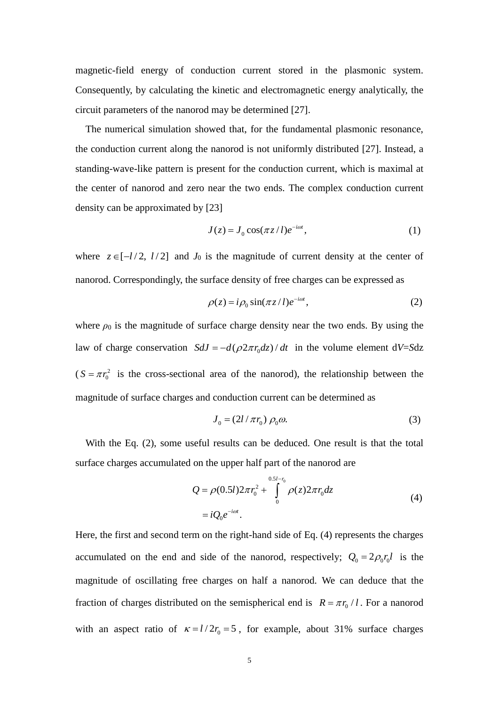magnetic-field energy of conduction current stored in the plasmonic system. Consequently, by calculating the kinetic and electromagnetic energy analytically, the circuit parameters of the nanorod may be determined [27].

 The numerical simulation showed that, for the fundamental plasmonic resonance, the conduction current along the nanorod is not uniformly distributed [27]. Instead, a standing-wave-like pattern is present for the conduction current, which is maximal at the center of nanorod and zero near the two ends. The complex conduction current density can be approximated by [23]

$$
J(z) = J_0 \cos(\pi z/l) e^{-i\omega t}, \qquad (1)
$$

where  $z \in [-l/2, l/2]$  and  $J_0$  is the magnitude of current density at the center of nanorod. Correspondingly, the surface density of free charges can be expressed as

$$
\rho(z) = i\rho_0 \sin(\pi z/l)e^{-i\omega t},\qquad (2)
$$

where  $\rho_0$  is the magnitude of surface charge density near the two ends. By using the law of charge conservation  $SdJ = -d(\rho 2\pi r_0 dz) / dt$  in the volume element  $dV = Sdz$  $(S = \pi r_0^2)$  $S = \pi r_0^2$  is the cross-sectional area of the nanorod), the relationship between the magnitude of surface charges and conduction current can be determined as

$$
J_0 = (2l/\pi r_0) \rho_0 \omega. \tag{3}
$$

With the Eq. (2), some useful results can be deduced. One result is that the total surface charges accumulated on the upper half part of the nanorod are

$$
Q = \rho(0.5l)2\pi r_0^2 + \int_0^{0.5l - r_0} \rho(z)2\pi r_0 dz
$$
  
=  $iQ_0e^{-i\omega t}$ . (4)

Here, the first and second term on the right-hand side of Eq. (4) represents the charges accumulated on the end and side of the nanorod, respectively;  $Q_0 = 2\rho_0 r_0 l$  is the magnitude of oscillating free charges on half a nanorod. We can deduce that the fraction of charges distributed on the semispherical end is  $R = \pi r_0 / l$ . For a nanorod with an aspect ratio of  $\kappa = l/2r_0 = 5$ , for example, about 31% surface charges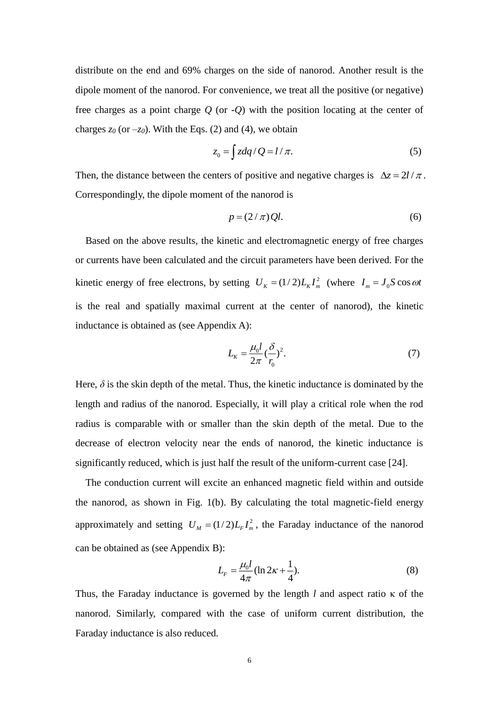distribute on the end and 69% charges on the side of nanorod. Another result is the dipole moment of the nanorod. For convenience, we treat all the positive (or negative) free charges as a point charge *Q* (or -*Q*) with the position locating at the center of charges  $z_0$  (or  $-z_0$ ). With the Eqs. (2) and (4), we obtain

$$
z_0 = \int z dq / Q = l / \pi. \tag{5}
$$

Then, the distance between the centers of positive and negative charges is  $\Delta z = 2l / \pi$ . Correspondingly, the dipole moment of the nanorod is

$$
p = (2/\pi)Ql. \tag{6}
$$

Based on the above results, the kinetic and electromagnetic energy of free charges or currents have been calculated and the circuit parameters have been derived. For the kinetic energy of free electrons, by setting  $U_K = (1/2)L_K I_m^2$  (where  $I_m = J_0 S \cos \omega t$ is the real and spatially maximal current at the center of nanorod), the kinetic inductance is obtained as (see Appendix A):

$$
L_K = \frac{\mu_0 l}{2\pi} \left(\frac{\delta}{r_0}\right)^2. \tag{7}
$$

Here,  $\delta$  is the skin depth of the metal. Thus, the kinetic inductance is dominated by the length and radius of the nanorod. Especially, it will play a critical role when the rod radius is comparable with or smaller than the skin depth of the metal. Due to the decrease of electron velocity near the ends of nanorod, the kinetic inductance is significantly reduced, which is just half the result of the uniform-current case [24].

 The conduction current will excite an enhanced magnetic field within and outside the nanorod, as shown in Fig. 1(b). By calculating the total magnetic-field energy approximately and setting  $U_M = (1/2)L_F I_m^2$ , the Faraday inductance of the nanorod can be obtained as (see Appendix B):

$$
L_F = \frac{\mu_0 l}{4\pi} (\ln 2\kappa + \frac{1}{4}).
$$
 (8)

Thus, the Faraday inductance is governed by the length *l* and aspect ratio κ of the nanorod. Similarly, compared with the case of uniform current distribution, the Faraday inductance is also reduced.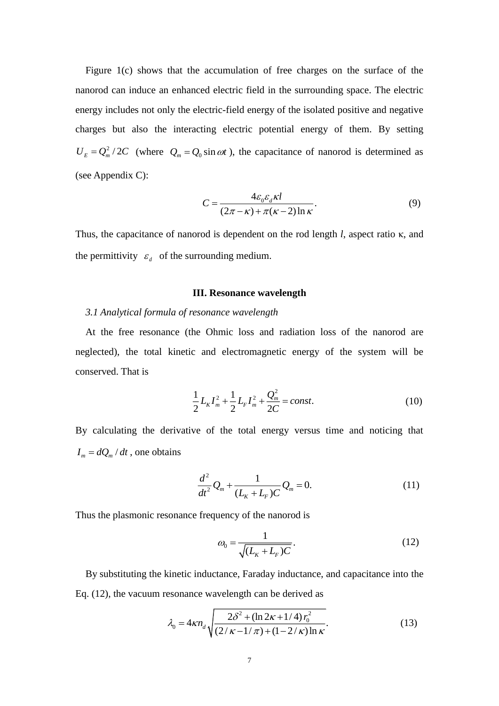Figure 1(c) shows that the accumulation of free charges on the surface of the nanorod can induce an enhanced electric field in the surrounding space. The electric energy includes not only the electric-field energy of the isolated positive and negative charges but also the interacting electric potential energy of them. By setting  $U_E = Q_m^2 / 2C$  (where  $Q_m = Q_0 \sin \omega t$ ), the capacitance of nanorod is determined as (see Appendix C):

$$
C = \frac{4\varepsilon_0 \varepsilon_d \kappa l}{(2\pi - \kappa) + \pi(\kappa - 2)\ln \kappa}.
$$
\n(9)

Thus, the capacitance of nanorod is dependent on the rod length *l*, aspect ratio κ, and the permittivity  $\varepsilon_d$  of the surrounding medium.

#### **III. Resonance wavelength**

# *3.1 Analytical formula of resonance wavelength*

 At the free resonance (the Ohmic loss and radiation loss of the nanorod are neglected), the total kinetic and electromagnetic energy of the system will be conserved. That is

$$
\frac{1}{2}L_K I_m^2 + \frac{1}{2}L_F I_m^2 + \frac{Q_m^2}{2C} = const.
$$
\n(10)

By calculating the derivative of the total energy versus time and noticing that  $I_m = dQ_m / dt$ , one obtains

$$
\frac{d^2}{dt^2}Q_m + \frac{1}{(L_K + L_F)C}Q_m = 0.
$$
\n(11)

Thus the plasmonic resonance frequency of the nanorod is

$$
\omega_0 = \frac{1}{\sqrt{(L_K + L_F)C}}.\tag{12}
$$

By substituting the kinetic inductance, Faraday inductance, and capacitance into the Eq. (12), the vacuum resonance wavelength can be derived as

$$
\lambda_0 = 4\kappa n_d \sqrt{\frac{2\delta^2 + (\ln 2\kappa + 1/4) r_0^2}{(2/\kappa - 1/\pi) + (1 - 2/\kappa) \ln \kappa}}.
$$
(13)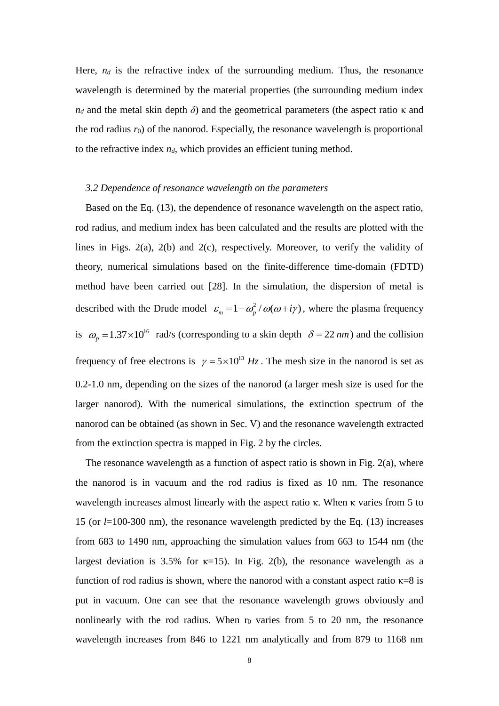Here,  $n_d$  is the refractive index of the surrounding medium. Thus, the resonance wavelength is determined by the material properties (the surrounding medium index  $n_d$  and the metal skin depth *δ*) and the geometrical parameters (the aspect ratio κ and the rod radius  $r_0$ ) of the nanorod. Especially, the resonance wavelength is proportional to the refractive index *nd*, which provides an efficient tuning method.

# *3.2 Dependence of resonance wavelength on the parameters*

 Based on the Eq. (13), the dependence of resonance wavelength on the aspect ratio, rod radius, and medium index has been calculated and the results are plotted with the lines in Figs. 2(a), 2(b) and 2(c), respectively. Moreover, to verify the validity of theory, numerical simulations based on the finite-difference time-domain (FDTD) method have been carried out [28]. In the simulation, the dispersion of metal is described with the Drude model  $\varepsilon_m = 1 - \omega_p^2 / \omega(\omega + i\gamma)$ , where the plasma frequency is  $\omega_p = 1.37 \times 10^{16}$  rad/s (corresponding to a skin depth  $\delta = 22$  *nm*) and the collision frequency of free electrons is  $\gamma = 5 \times 10^{13}$  Hz. The mesh size in the nanorod is set as 0.2-1.0 nm, depending on the sizes of the nanorod (a larger mesh size is used for the larger nanorod). With the numerical simulations, the extinction spectrum of the nanorod can be obtained (as shown in Sec. V) and the resonance wavelength extracted from the extinction spectra is mapped in Fig. 2 by the circles.

The resonance wavelength as a function of aspect ratio is shown in Fig.  $2(a)$ , where the nanorod is in vacuum and the rod radius is fixed as 10 nm. The resonance wavelength increases almost linearly with the aspect ratio κ. When κ varies from 5 to 15 (or *l*=100-300 nm), the resonance wavelength predicted by the Eq. (13) increases from 683 to 1490 nm, approaching the simulation values from 663 to 1544 nm (the largest deviation is 3.5% for  $\kappa$ =15). In Fig. 2(b), the resonance wavelength as a function of rod radius is shown, where the nanorod with a constant aspect ratio  $\kappa=8$  is put in vacuum. One can see that the resonance wavelength grows obviously and nonlinearly with the rod radius. When  $r_0$  varies from 5 to 20 nm, the resonance wavelength increases from 846 to 1221 nm analytically and from 879 to 1168 nm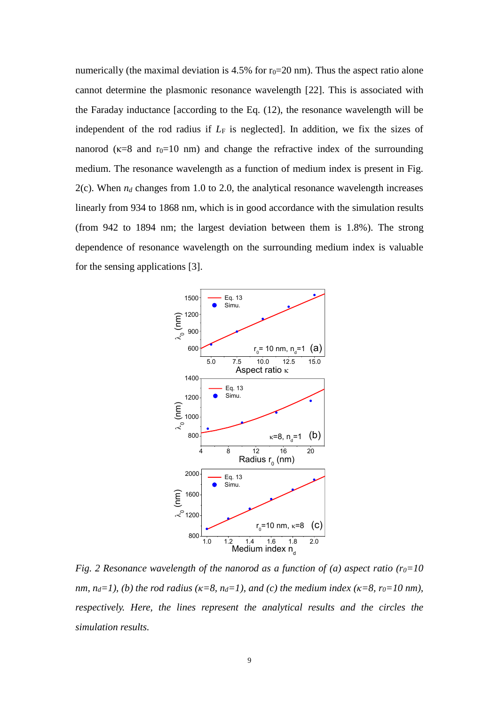numerically (the maximal deviation is 4.5% for  $r_0=20$  nm). Thus the aspect ratio alone cannot determine the plasmonic resonance wavelength [22]. This is associated with the Faraday inductance [according to the Eq. (12), the resonance wavelength will be independent of the rod radius if  $L_F$  is neglected]. In addition, we fix the sizes of nanorod ( $\kappa=8$  and  $r_0=10$  nm) and change the refractive index of the surrounding medium. The resonance wavelength as a function of medium index is present in Fig. 2(c). When  $n_d$  changes from 1.0 to 2.0, the analytical resonance wavelength increases linearly from 934 to 1868 nm, which is in good accordance with the simulation results (from 942 to 1894 nm; the largest deviation between them is 1.8%). The strong dependence of resonance wavelength on the surrounding medium index is valuable for the sensing applications [3].



*Fig. 2 Resonance wavelength of the nanorod as a function of (a) aspect ratio (r<sub>0</sub>=10 nm, n<sub>d</sub>*=1), (b) the rod radius ( $\kappa$ =8, n<sub>d</sub>=1), and (c) the medium index ( $\kappa$ =8, r<sub>0</sub>=10 nm), *respectively. Here, the lines represent the analytical results and the circles the simulation results.*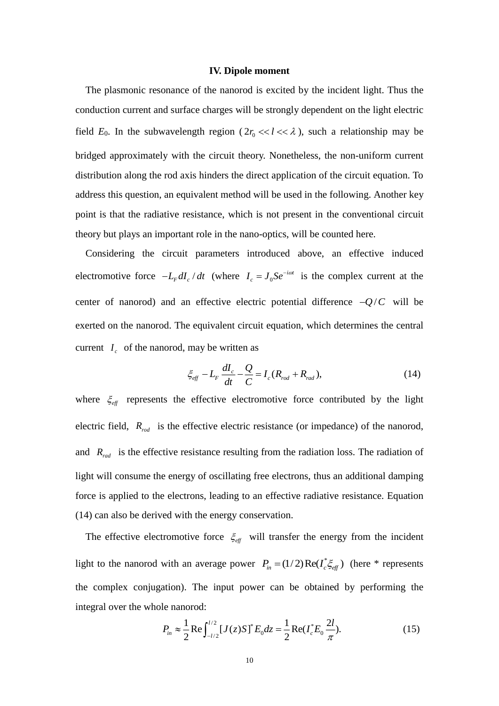## **IV. Dipole moment**

 The plasmonic resonance of the nanorod is excited by the incident light. Thus the conduction current and surface charges will be strongly dependent on the light electric field  $E_0$ . In the subwavelength region ( $2r_0 \ll l \ll \lambda$ ), such a relationship may be bridged approximately with the circuit theory. Nonetheless, the non-uniform current distribution along the rod axis hinders the direct application of the circuit equation. To address this question, an equivalent method will be used in the following. Another key point is that the radiative resistance, which is not present in the conventional circuit theory but plays an important role in the nano-optics, will be counted here.

Considering the circuit parameters introduced above, an effective induced electromotive force  $-L_F dI_c / dt$  (where  $I_c = J_0$ *i* @1  $I_c = J_0 S e^{-i\omega t}$  is the complex current at the center of nanorod) and an effective electric potential difference  $-Q/C$  will be exerted on the nanorod. The equivalent circuit equation, which determines the central current  $I_c$  of the nanorod, may be written as

$$
\xi_{\text{eff}} - L_{\text{F}} \frac{dI_{\text{c}}}{dt} - \frac{Q}{C} = I_{\text{c}} (R_{\text{rod}} + R_{\text{rad}}), \qquad (14)
$$

where  $\zeta_{\text{eff}}$  represents the effective electromotive force contributed by the light electric field,  $R_{rod}$  is the effective electric resistance (or impedance) of the nanorod, and  $R_{rad}$  is the effective resistance resulting from the radiation loss. The radiation of light will consume the energy of oscillating free electrons, thus an additional damping force is applied to the electrons, leading to an effective radiative resistance. Equation (14) can also be derived with the energy conservation.

The effective electromotive force  $\zeta_{\text{eff}}$  will transfer the energy from the incident light to the nanorod with an average power  $P_{in} = (1/2) \text{Re}(I_c^* \xi_{eff})$  (here \* represents the complex conjugation). The input power can be obtained by performing the integral over the whole nanorod:

$$
P_{in} \approx \frac{1}{2} \text{Re} \int_{-l/2}^{l/2} [J(z)S]^* E_0 dz = \frac{1}{2} \text{Re} (I_c^* E_0 \frac{2l}{\pi}).
$$
 (15)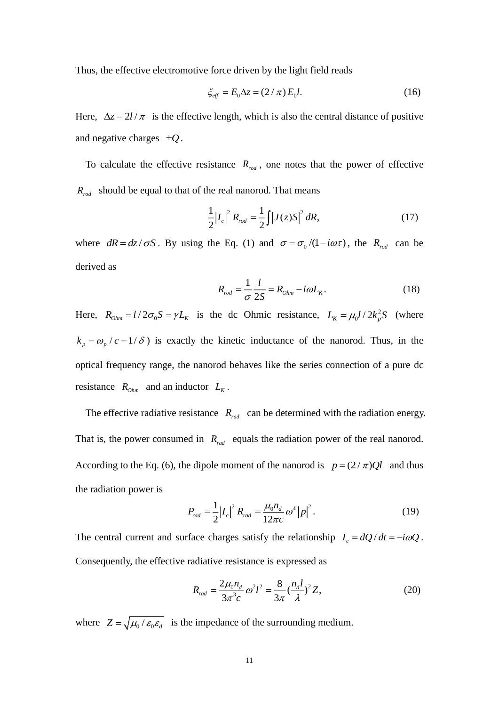Thus, the effective electromotive force driven by the light field reads

$$
\xi_{\text{eff}} = E_0 \Delta z = (2/\pi) E_0 l. \tag{16}
$$

Here,  $\Delta z = 2l / \pi$  is the effective length, which is also the central distance of positive and negative charges  $\pm Q$ .

To calculate the effective resistance  $R_{\text{rod}}$ , one notes that the power of effective  $R_{rod}$  should be equal to that of the real nanorod. That means

$$
\frac{1}{2}|I_c|^2 R_{rod} = \frac{1}{2}\int |J(z)S|^2 dR,
$$
\n(17)

where  $dR = dz / \sigma S$ . By using the Eq. (1) and  $\sigma = \sigma_0 / (1 - i \omega \tau)$ , the  $R_{rod}$  can be derived as

$$
R_{rod} = \frac{1}{\sigma} \frac{l}{2S} = R_{Ohm} - i\omega L_K.
$$
 (18)

Here,  $R_{\text{Ohm}} = l/2\sigma_0 S = \gamma L_K$  is the dc Ohmic resistance,  $L_K = \mu_0 l/2k_p^2$  $L_K = \mu_0 l / 2k_p^2 S$  (where  $k_p = \omega_p / c = 1/\delta$ ) is exactly the kinetic inductance of the nanorod. Thus, in the optical frequency range, the nanorod behaves like the series connection of a pure dc resistance  $R_{\text{Ohm}}$  and an inductor  $L_K$ .

The effective radiative resistance  $R_{rad}$  can be determined with the radiation energy. That is, the power consumed in  $R_{rad}$  equals the radiation power of the real nanorod. According to the Eq. (6), the dipole moment of the nanorod is  $p = (2/\pi)Ql$  and thus the radiation power is

$$
P_{rad} = \frac{1}{2} |I_c|^2 R_{rad} = \frac{\mu_0 n_d}{12\pi c} \omega^4 |p|^2.
$$
 (19)

The central current and surface charges satisfy the relationship  $I_c = dQ/dt = -i\omega Q$ . Consequently, the effective radiative resistance is expressed as

$$
R_{rad} = \frac{2\mu_0 n_d}{3\pi^3 c} \omega^2 l^2 = \frac{8}{3\pi} (\frac{n_d l}{\lambda})^2 Z,
$$
 (20)

where  $Z = \sqrt{\mu_0 / \varepsilon_0 \varepsilon_d}$  is the impedance of the surrounding medium.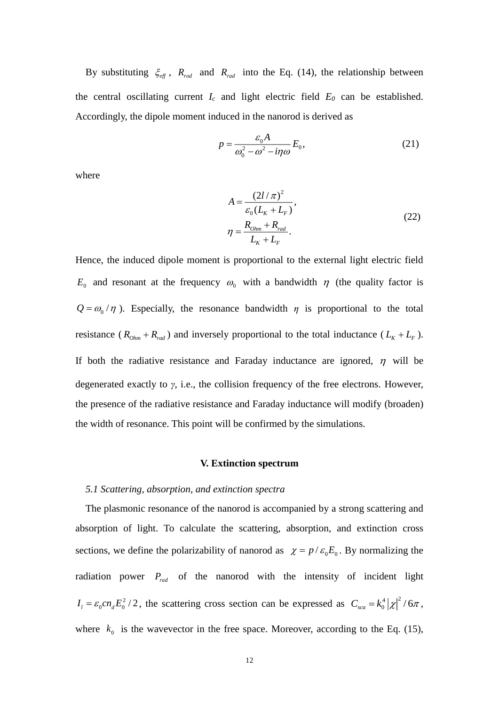By substituting  $\xi_{\text{eff}}$ ,  $R_{\text{rod}}$  and  $R_{\text{rad}}$  into the Eq. (14), the relationship between the central oscillating current  $I_c$  and light electric field  $E_0$  can be established. Accordingly, the dipole moment induced in the nanorod is derived as

$$
p = \frac{\varepsilon_0 A}{\omega_0^2 - \omega^2 - i\eta \omega} E_0,
$$
\n(21)

where

$$
A = \frac{(2l/\pi)^2}{\varepsilon_0 (L_K + L_F)},
$$
  
\n
$$
\eta = \frac{R_{Ohm} + R_{rad}}{L_K + L_F}.
$$
\n(22)

Hence, the induced dipole moment is proportional to the external light electric field  $E_0$  and resonant at the frequency  $\omega_0$  with a bandwidth  $\eta$  (the quality factor is  $Q = \omega_0 / \eta$ ). Especially, the resonance bandwidth  $\eta$  is proportional to the total resistance ( $R_{Ohm} + R_{rad}$ ) and inversely proportional to the total inductance ( $L_K + L_F$ ). If both the radiative resistance and Faraday inductance are ignored,  $\eta$  will be degenerated exactly to *γ*, i.e., the collision frequency of the free electrons. However, the presence of the radiative resistance and Faraday inductance will modify (broaden) the width of resonance. This point will be confirmed by the simulations.

#### **V. Extinction spectrum**

#### *5.1 Scattering, absorption, and extinction spectra*

The plasmonic resonance of the nanorod is accompanied by a strong scattering and absorption of light. To calculate the scattering, absorption, and extinction cross sections, we define the polarizability of nanorod as  $\chi = p/\varepsilon_0 E_0$ . By normalizing the radiation power  $P_{rad}$  of the nanorod with the intensity of incident light  $I_1 = \varepsilon_0 c n_d E_0^2 / 2$ , the scattering cross section can be expressed as  $C_{sca} = k_0^4 |\chi|^2$  $C_{sca} = k_0^4 |\chi|^2 / 6\pi$ , where  $k_0$  is the wavevector in the free space. Moreover, according to the Eq. (15),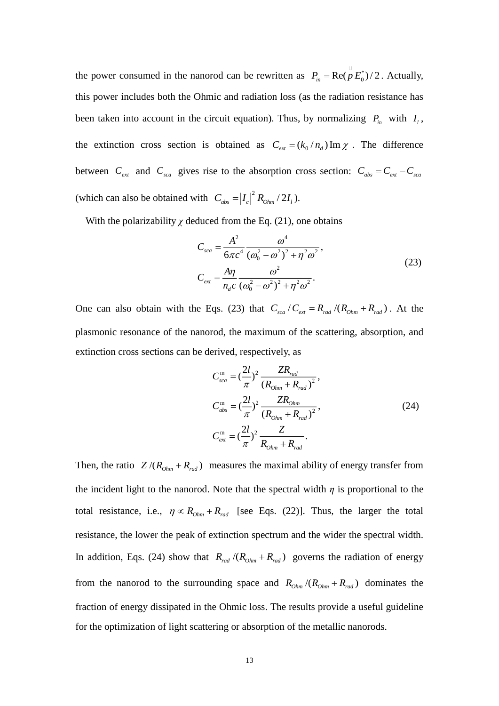the power consumed in the nanorod can be rewritten as  $P_{in} = \text{Re}(p E_0^*)/2$ . Actually, this power includes both the Ohmic and radiation loss (as the radiation resistance has been taken into account in the circuit equation). Thus, by normalizing  $P_{in}$  with  $I_i$ , the extinction cross section is obtained as  $C_{ext} = (k_0/n_d) \text{Im } \chi$ . The difference between  $C_{ext}$  and  $C_{sca}$  gives rise to the absorption cross section:  $C_{abs} = C_{ext} - C_{sca}$ (which can also be obtained with  $C_{abs} = |I_c|^2 R_{Ohm} / 2I_l$ ).

With the polarizability  $\chi$  deduced from the Eq. (21), one obtains

$$
C_{sca} = \frac{A^2}{6\pi c^4} \frac{\omega^4}{(\omega_0^2 - \omega^2)^2 + \eta^2 \omega^2},
$$
  
\n
$$
C_{ext} = \frac{A\eta}{n_d c} \frac{\omega^2}{(\omega_0^2 - \omega^2)^2 + \eta^2 \omega^2}.
$$
\n(23)

One can also obtain with the Eqs. (23) that  $C_{\text{scat}}/C_{\text{ext}} = R_{\text{rad}}/(R_{\text{Ohm}} + R_{\text{rad}})$ . At the plasmonic resonance of the nanorod, the maximum of the scattering, absorption, and extinction cross sections can be derived, respectively, as

$$
C_{sca}^{m} = \left(\frac{2l}{\pi}\right)^2 \frac{ZR_{rad}}{(R_{Ohm} + R_{rad})^2},
$$
  
\n
$$
C_{abs}^{m} = \left(\frac{2l}{\pi}\right)^2 \frac{ZR_{Ohm}}{(R_{Ohm} + R_{rad})^2},
$$
  
\n
$$
C_{ext}^{m} = \left(\frac{2l}{\pi}\right)^2 \frac{Z}{R_{Ohm} + R_{rad}}.
$$
\n(24)

Then, the ratio  $Z/(R_{\text{Ohm}} + R_{\text{rad}})$  measures the maximal ability of energy transfer from the incident light to the nanorod. Note that the spectral width *η* is proportional to the total resistance, i.e.,  $\eta \propto R_{Ohm} + R_{rad}$  [see Eqs. (22)]. Thus, the larger the total resistance, the lower the peak of extinction spectrum and the wider the spectral width. In addition, Eqs. (24) show that  $R_{rad}/(R_{Ohm} + R_{rad})$  governs the radiation of energy from the nanorod to the surrounding space and  $R_{Ohm}/(R_{Ohm} + R_{rad})$  dominates the fraction of energy dissipated in the Ohmic loss. The results provide a useful guideline for the optimization of light scattering or absorption of the metallic nanorods.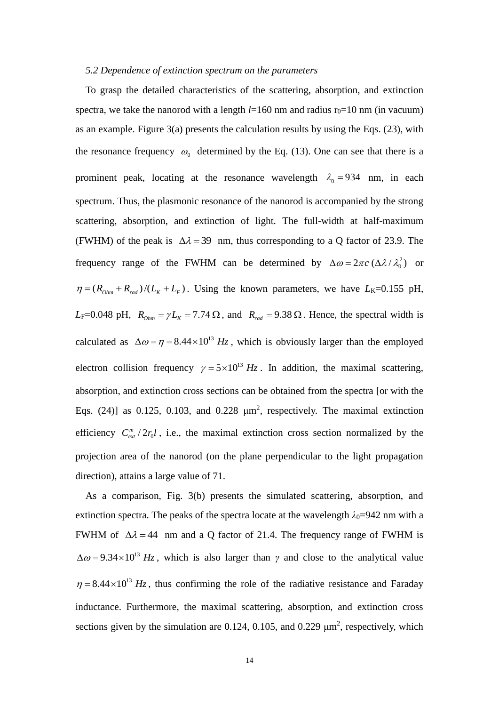### *5.2 Dependence of extinction spectrum on the parameters*

 To grasp the detailed characteristics of the scattering, absorption, and extinction spectra, we take the nanorod with a length  $l=160$  nm and radius r<sub>0</sub>=10 nm (in vacuum) as an example. Figure  $3(a)$  presents the calculation results by using the Eqs. (23), with the resonance frequency  $\omega_0$  determined by the Eq. (13). One can see that there is a prominent peak, locating at the resonance wavelength  $\lambda_0 = 934$  nm, in each spectrum. Thus, the plasmonic resonance of the nanorod is accompanied by the strong scattering, absorption, and extinction of light. The full-width at half-maximum (FWHM) of the peak is  $\Delta \lambda = 39$  nm, thus corresponding to a Q factor of 23.9. The frequency range of the FWHM can be determined by  $\Delta \omega = 2\pi c \left( \Delta \lambda / \lambda_0^2 \right)$  or  $\eta = (R_{ohm} + R_{rad})/(L_K + L_F)$ . Using the known parameters, we have  $L_K = 0.155$  pH,  $L_F$ =0.048 pH,  $R_{Ohm} = \gamma L_K = 7.74 \Omega$ , and  $R_{rad} = 9.38 \Omega$ . Hence, the spectral width is calculated as  $\Delta \omega = \eta = 8.44 \times 10^{13}$  Hz, which is obviously larger than the employed electron collision frequency  $\gamma = 5 \times 10^{13}$  Hz. In addition, the maximal scattering, absorption, and extinction cross sections can be obtained from the spectra [or with the Eqs.  $(24)$ ] as 0.125, 0.103, and 0.228  $\mu$ m<sup>2</sup>, respectively. The maximal extinction efficiency  $C_{ext}^{m}/2r_0 l$ , i.e., the maximal extinction cross section normalized by the projection area of the nanorod (on the plane perpendicular to the light propagation direction), attains a large value of 71.

As a comparison, Fig. 3(b) presents the simulated scattering, absorption, and extinction spectra. The peaks of the spectra locate at the wavelength  $\lambda_0$ =942 nm with a FWHM of  $\Delta \lambda = 44$  nm and a Q factor of 21.4. The frequency range of FWHM is  $\Delta \omega = 9.34 \times 10^{13}$  Hz, which is also larger than *γ* and close to the analytical value  $\eta = 8.44 \times 10^{13}$  Hz, thus confirming the role of the radiative resistance and Faraday inductance. Furthermore, the maximal scattering, absorption, and extinction cross sections given by the simulation are  $0.124$ ,  $0.105$ , and  $0.229 \mu m^2$ , respectively, which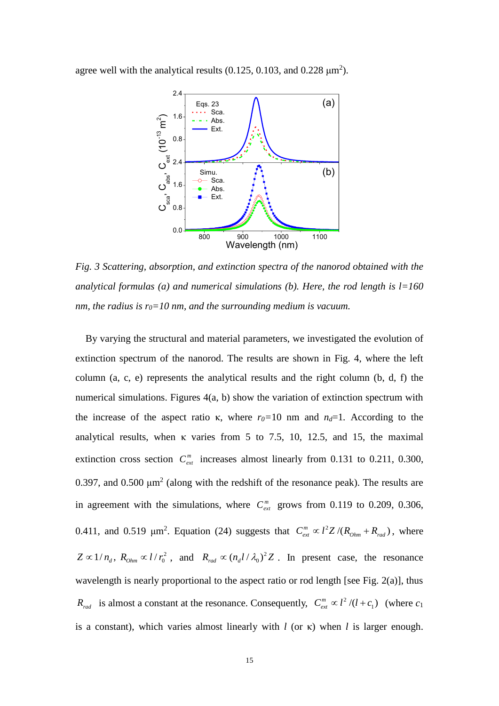agree well with the analytical results  $(0.125, 0.103, \text{ and } 0.228 \text{ µm}^2)$ .



*Fig. 3 Scattering, absorption, and extinction spectra of the nanorod obtained with the analytical formulas (a) and numerical simulations (b). Here, the rod length is l=160 nm, the radius is r0=10 nm, and the surrounding medium is vacuum.*

 By varying the structural and material parameters, we investigated the evolution of extinction spectrum of the nanorod. The results are shown in Fig. 4, where the left column  $(a, c, e)$  represents the analytical results and the right column  $(b, d, f)$  the numerical simulations. Figures 4(a, b) show the variation of extinction spectrum with the increase of the aspect ratio κ, where  $r_0=10$  nm and  $n_d=1$ . According to the analytical results, when  $\kappa$  varies from 5 to 7.5, 10, 12.5, and 15, the maximal extinction cross section  $C_{ext}^{m}$  increases almost linearly from 0.131 to 0.211, 0.300, 0.397, and 0.500  $\mu$ m<sup>2</sup> (along with the redshift of the resonance peak). The results are in agreement with the simulations, where  $C_{ext}^{m}$  grows from 0.119 to 0.209, 0.306, 0.411, and 0.519  $\mu$ m<sup>2</sup>. Equation (24) suggests that  $C_{ext}^{m} \propto l^2 Z / (R_{\text{Ohm}} + R_{\text{rad}})$ , where 2  $Z \propto 1/n_d$ ,  $R_{Ohm} \propto l/r_0^2$ , and  $R_{rad} \propto (n_d l/\lambda_0)^2$  $R_{rad} \propto (n_d l / \lambda_0)^2 Z$ . In present case, the resonance wavelength is nearly proportional to the aspect ratio or rod length [see Fig. 2(a)], thus  $R_{rad}$  is almost a constant at the resonance. Consequently,  $C_{ext}^{m} \propto l^2$  $C_{ext}^{m} \propto l^{2}/(l+c_{1})$  (where  $c_{1}$ ) is a constant), which varies almost linearly with *l* (or κ) when *l* is larger enough.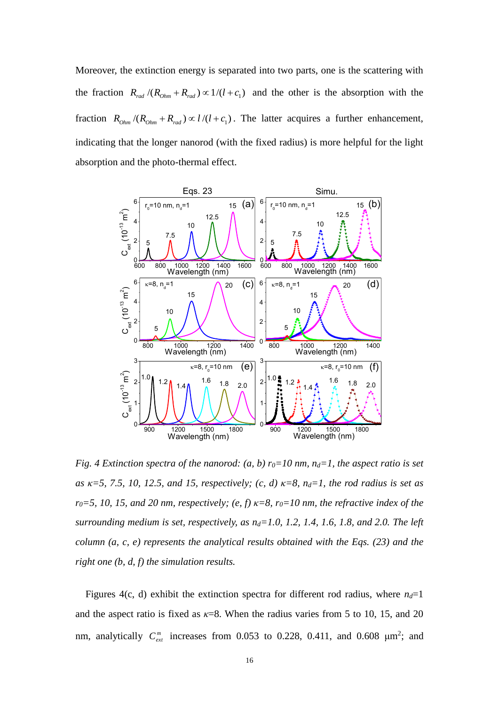Moreover, the extinction energy is separated into two parts, one is the scattering with the fraction  $R_{rad}/(R_{0hm} + R_{rad}) \propto 1/(l + c_1)$  and the other is the absorption with the fraction  $R_{Ohm}/(R_{Ohm} + R_{rad}) \propto l/(l + c_1)$ . The latter acquires a further enhancement, indicating that the longer nanorod (with the fixed radius) is more helpful for the light absorption and the photo-thermal effect.



*Fig. 4 Extinction spectra of the nanorod: (a, b)*  $r_0=10$  *nm,*  $n_d=1$ *, the aspect ratio is set as κ=5, 7.5, 10, 12.5, and 15, respectively; (c, d) κ=8, nd=1, the rod radius is set as*   $r_0 = 5$ , 10, 15, and 20 nm, respectively; (e, f)  $\kappa = 8$ ,  $r_0 = 10$  nm, the refractive index of the *surrounding medium is set, respectively, as nd=1.0, 1.2, 1.4, 1.6, 1.8, and 2.0. The left column (a, c, e) represents the analytical results obtained with the Eqs. (23) and the right one (b, d, f) the simulation results.*

Figures 4(c, d) exhibit the extinction spectra for different rod radius, where  $n_d=1$ and the aspect ratio is fixed as  $\kappa$ =8. When the radius varies from 5 to 10, 15, and 20 nm, analytically  $C_{ext}^{m}$  increases from 0.053 to 0.228, 0.411, and 0.608  $\mu$ m<sup>2</sup>; and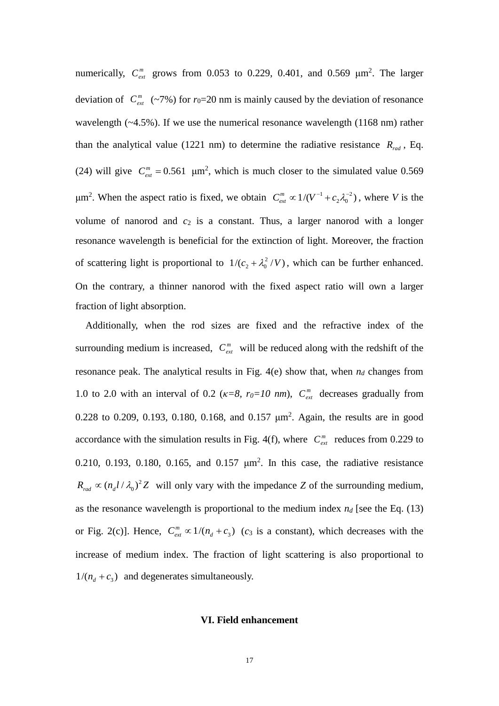numerically,  $C_{ext}^{m}$  grows from 0.053 to 0.229, 0.401, and 0.569  $\mu$ m<sup>2</sup>. The larger deviation of  $C_{ext}^{m}$  (~7%) for  $r_0=20$  nm is mainly caused by the deviation of resonance wavelength (~4.5%). If we use the numerical resonance wavelength (1168 nm) rather than the analytical value (1221 nm) to determine the radiative resistance  $R_{rad}$ , Eq. (24) will give  $C_{ext}^m = 0.561$   $\mu$ m<sup>2</sup>, which is much closer to the simulated value 0.569 μm<sup>2</sup>. When the aspect ratio is fixed, we obtain  $C_{ext}^{m} \propto 1/(V^{-1} + c_2 \lambda_0^{-2})$ , where *V* is the volume of nanorod and  $c_2$  is a constant. Thus, a larger nanorod with a longer resonance wavelength is beneficial for the extinction of light. Moreover, the fraction of scattering light is proportional to  $1/(c_2 + \lambda_0^2/V)$ , which can be further enhanced. On the contrary, a thinner nanorod with the fixed aspect ratio will own a larger fraction of light absorption.

Additionally, when the rod sizes are fixed and the refractive index of the surrounding medium is increased,  $C_{ext}^{m}$  will be reduced along with the redshift of the resonance peak. The analytical results in Fig.  $4(e)$  show that, when  $n_d$  changes from 1.0 to 2.0 with an interval of 0.2 ( $\kappa = 8$ ,  $r_0 = 10$  nm),  $C_{ext}^{m}$  decreases gradually from 0.228 to 0.209, 0.193, 0.180, 0.168, and 0.157  $\mu$ m<sup>2</sup>. Again, the results are in good accordance with the simulation results in Fig. 4(f), where  $C_{ext}^{m}$  reduces from 0.229 to 0.210, 0.193, 0.180, 0.165, and 0.157  $\mu$ m<sup>2</sup>. In this case, the radiative resistance 2  $R_{rad} \propto (n_d l / \lambda_0)^2 Z$  will only vary with the impedance *Z* of the surrounding medium, as the resonance wavelength is proportional to the medium index  $n_d$  [see the Eq. (13) or Fig. 2(c)]. Hence,  $C_{ext}^{m} \propto 1/(n_d + c_3)$  (c<sub>3</sub> is a constant), which decreases with the increase of medium index. The fraction of light scattering is also proportional to  $1/(n_d + c_3)$  and degenerates simultaneously.

# **VI. Field enhancement**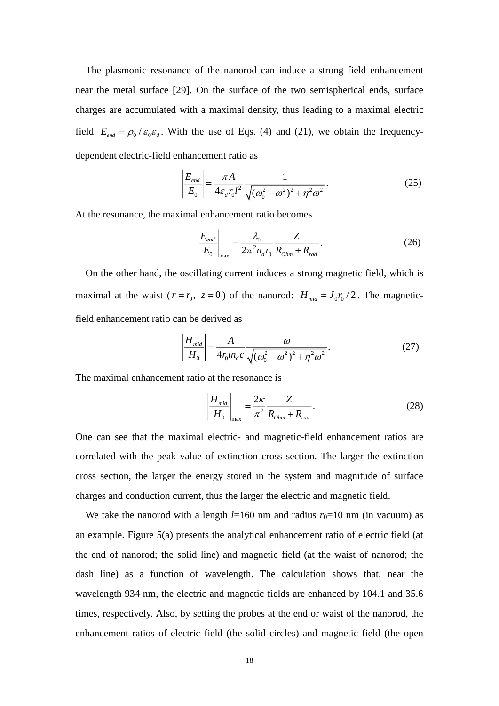The plasmonic resonance of the nanorod can induce a strong field enhancement near the metal surface [29]. On the surface of the two semispherical ends, surface charges are accumulated with a maximal density, thus leading to a maximal electric field  $E_{end} = \rho_0 / \varepsilon_0 \varepsilon_d$ . With the use of Eqs. (4) and (21), we obtain the frequencydependent electric-field enhancement ratio as

$$
\left| \frac{E_{\text{end}}}{E_0} \right| = \frac{\pi A}{4\varepsilon_d r_0 l^2} \frac{1}{\sqrt{(\omega_0^2 - \omega^2)^2 + \eta^2 \omega^2}}.
$$
\n(25)

At the resonance, the maximal enhancement ratio becomes

$$
\left| \frac{E_{\text{end}}}{E_0} \right|_{\text{max}} = \frac{\lambda_0}{2\pi^2 n_d r_0} \frac{Z}{R_{\text{Ohm}} + R_{\text{rad}}}.
$$
 (26)

 On the other hand, the oscillating current induces a strong magnetic field, which is maximal at the waist ( $r = r_0$ ,  $z = 0$ ) of the nanorod:  $H_{mid} = J_0 r_0 / 2$ . The magneticfield enhancement ratio can be derived as

$$
\left| \frac{H_{mid}}{H_0} \right| = \frac{A}{4r_0 ln_d c} \frac{\omega}{\sqrt{(\omega_0^2 - \omega^2)^2 + \eta^2 \omega^2}}.
$$
 (27)

The maximal enhancement ratio at the resonance is

$$
\left|\frac{H_{mid}}{H_0}\right|_{\text{max}} = \frac{2\kappa}{\pi^2} \frac{Z}{R_{\text{Ohm}} + R_{\text{rad}}}.
$$
\n(28)

One can see that the maximal electric- and magnetic-field enhancement ratios are correlated with the peak value of extinction cross section. The larger the extinction cross section, the larger the energy stored in the system and magnitude of surface charges and conduction current, thus the larger the electric and magnetic field.

We take the nanorod with a length  $l=160$  nm and radius  $r_0=10$  nm (in vacuum) as an example. Figure 5(a) presents the analytical enhancement ratio of electric field (at the end of nanorod; the solid line) and magnetic field (at the waist of nanorod; the dash line) as a function of wavelength. The calculation shows that, near the wavelength 934 nm, the electric and magnetic fields are enhanced by 104.1 and 35.6 times, respectively. Also, by setting the probes at the end or waist of the nanorod, the enhancement ratios of electric field (the solid circles) and magnetic field (the open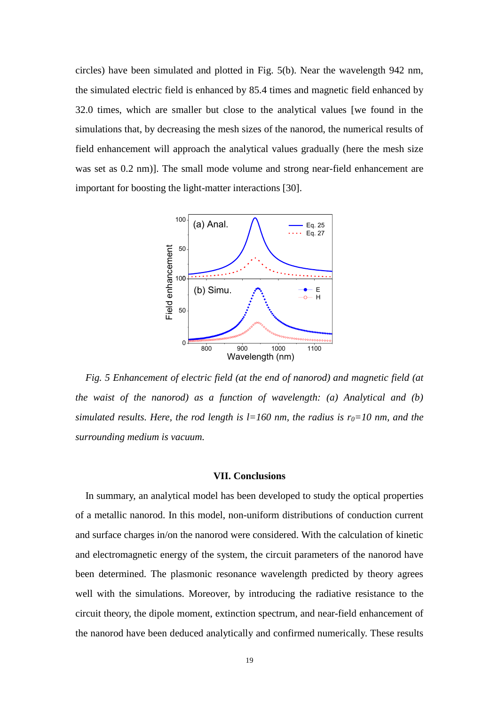circles) have been simulated and plotted in Fig. 5(b). Near the wavelength 942 nm, the simulated electric field is enhanced by 85.4 times and magnetic field enhanced by 32.0 times, which are smaller but close to the analytical values [we found in the simulations that, by decreasing the mesh sizes of the nanorod, the numerical results of field enhancement will approach the analytical values gradually (here the mesh size was set as 0.2 nm)]. The small mode volume and strong near-field enhancement are important for boosting the light-matter interactions [30].



*Fig. 5 Enhancement of electric field (at the end of nanorod) and magnetic field (at the waist of the nanorod) as a function of wavelength: (a) Analytical and (b) simulated results. Here, the rod length is*  $l=160$  *nm, the radius is*  $r_0=10$  *nm, and the surrounding medium is vacuum.*

# **VII. Conclusions**

 In summary, an analytical model has been developed to study the optical properties of a metallic nanorod. In this model, non-uniform distributions of conduction current and surface charges in/on the nanorod were considered. With the calculation of kinetic and electromagnetic energy of the system, the circuit parameters of the nanorod have been determined. The plasmonic resonance wavelength predicted by theory agrees well with the simulations. Moreover, by introducing the radiative resistance to the circuit theory, the dipole moment, extinction spectrum, and near-field enhancement of the nanorod have been deduced analytically and confirmed numerically. These results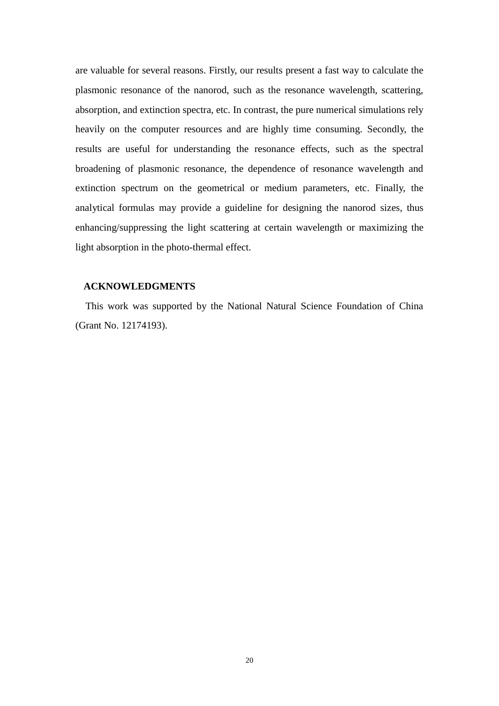are valuable for several reasons. Firstly, our results present a fast way to calculate the plasmonic resonance of the nanorod, such as the resonance wavelength, scattering, absorption, and extinction spectra, etc. In contrast, the pure numerical simulations rely heavily on the computer resources and are highly time consuming. Secondly, the results are useful for understanding the resonance effects, such as the spectral broadening of plasmonic resonance, the dependence of resonance wavelength and extinction spectrum on the geometrical or medium parameters, etc. Finally, the analytical formulas may provide a guideline for designing the nanorod sizes, thus enhancing/suppressing the light scattering at certain wavelength or maximizing the light absorption in the photo-thermal effect.

# **ACKNOWLEDGMENTS**

This work was supported by the National Natural Science Foundation of China (Grant No. 12174193).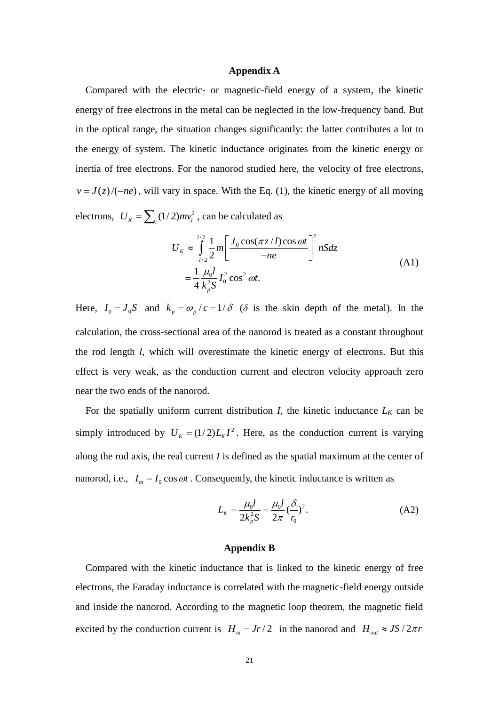# **Appendix A**

 Compared with the electric- or magnetic-field energy of a system, the kinetic energy of free electrons in the metal can be neglected in the low-frequency band. But in the optical range, the situation changes significantly: the latter contributes a lot to the energy of system. The kinetic inductance originates from the kinetic energy or inertia of free electrons. For the nanorod studied here, the velocity of free electrons,  $v = J(z)/(-ne)$ , will vary in space. With the Eq. (1), the kinetic energy of all moving electrons,  $U_K = \sum_i (1/2) m v_i^2$ , can be calculated as

$$
U_K \approx \int_{-l/2}^{l/2} \frac{1}{2} m \left[ \frac{J_0 \cos(\pi z / l) \cos \omega t}{-ne} \right]^2 nSdz
$$
  
=  $\frac{1}{4} \frac{\mu_0 l}{k_p^2 S} I_0^2 \cos^2 \omega t.$  (A1)

Here,  $I_0 = J_0 S$  and  $k_p = \omega_p / c = 1/\delta$  ( $\delta$  is the skin depth of the metal). In the calculation, the cross-sectional area of the nanorod is treated as a constant throughout the rod length *l*, which will overestimate the kinetic energy of electrons. But this effect is very weak, as the conduction current and electron velocity approach zero near the two ends of the nanorod.

For the spatially uniform current distribution  $I$ , the kinetic inductance  $L_K$  can be simply introduced by  $U_K = (1/2)L_K I^2$ . Here, as the conduction current is varying along the rod axis, the real current *I* is defined as the spatial maximum at the center of nanorod, i.e.,  $I_m = I_0 \cos \omega t$ . Consequently, the kinetic inductance is written as

$$
L_K = \frac{\mu_0 l}{2k_p^2 S} = \frac{\mu_0 l}{2\pi} (\frac{\delta}{r_0})^2.
$$
 (A2)

# **Appendix B**

 Compared with the kinetic inductance that is linked to the kinetic energy of free electrons, the Faraday inductance is correlated with the magnetic-field energy outside and inside the nanorod. According to the magnetic loop theorem, the magnetic field excited by the conduction current is  $H_{in} = Jr/2$  in the nanorod and  $H_{out} \approx JS/2\pi r$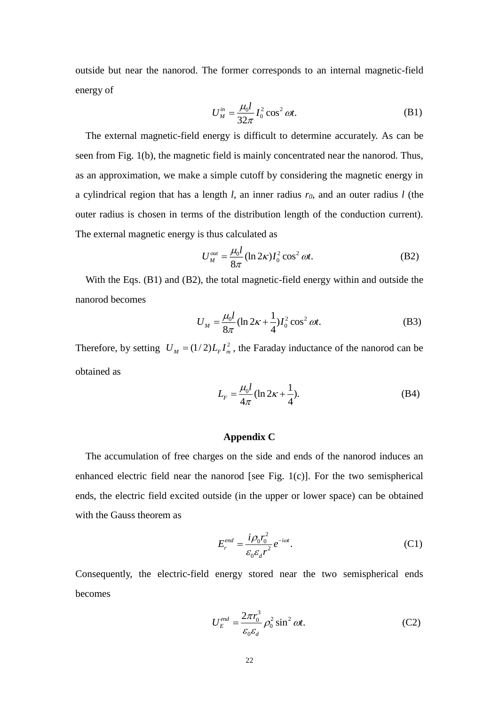outside but near the nanorod. The former corresponds to an internal magnetic-field energy of

$$
U_M^{in} = \frac{\mu_0 l}{32\pi} I_0^2 \cos^2 \omega t. \tag{B1}
$$

The external magnetic-field energy is difficult to determine accurately. As can be seen from Fig. 1(b), the magnetic field is mainly concentrated near the nanorod. Thus, as an approximation, we make a simple cutoff by considering the magnetic energy in a cylindrical region that has a length *l*, an inner radius *r0*, and an outer radius *l* (the outer radius is chosen in terms of the distribution length of the conduction current). The external magnetic energy is thus calculated as

$$
U_M^{out} = \frac{\mu_0 l}{8\pi} (\ln 2\kappa) I_0^2 \cos^2 \omega t.
$$
 (B2)

With the Eqs. (B1) and (B2), the total magnetic-field energy within and outside the nanorod becomes

$$
U_M = \frac{\mu_0 l}{8\pi} (\ln 2\kappa + \frac{1}{4}) I_0^2 \cos^2 \omega t.
$$
 (B3)

Therefore, by setting  $U_M = (1/2)L_F I_m^2$ , the Faraday inductance of the nanorod can be obtained as

$$
L_F = \frac{\mu_0 l}{4\pi} (\ln 2\kappa + \frac{1}{4}).
$$
 (B4)

# **Appendix C**

 The accumulation of free charges on the side and ends of the nanorod induces an enhanced electric field near the nanorod [see Fig. 1(c)]. For the two semispherical ends, the electric field excited outside (in the upper or lower space) can be obtained with the Gauss theorem as

$$
E_r^{end} = \frac{i\rho_0 r_0^2}{\varepsilon_0 \varepsilon_d r^2} e^{-i\omega t}.
$$
 (C1)

Consequently, the electric-field energy stored near the two semispherical ends becomes

$$
U_E^{end} = \frac{2\pi r_0^3}{\varepsilon_0 \varepsilon_d} \rho_0^2 \sin^2 \omega t.
$$
 (C2)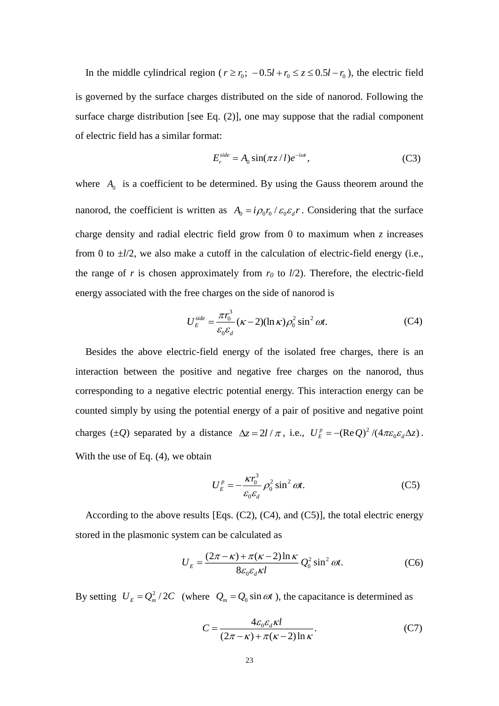In the middle cylindrical region ( $r \ge r_0$ ;  $-0.5l + r_0 \le z \le 0.5l - r_0$ ), the electric field is governed by the surface charges distributed on the side of nanorod. Following the surface charge distribution [see Eq. (2)], one may suppose that the radial component of electric field has a similar format:

$$
E_r^{side} = A_0 \sin(\pi z / l) e^{-i\omega t},\tag{C3}
$$

where  $A_0$  is a coefficient to be determined. By using the Gauss theorem around the nanorod, the coefficient is written as  $A_0 = i \rho_0 r_0 / \varepsilon_0 \varepsilon_d r$ . Considering that the surface charge density and radial electric field grow from 0 to maximum when *z* increases from 0 to  $\pm l/2$ , we also make a cutoff in the calculation of electric-field energy (i.e., the range of  $r$  is chosen approximately from  $r<sub>0</sub>$  to  $l/2$ ). Therefore, the electric-field energy associated with the free charges on the side of nanorod is

$$
U_E^{\text{side}} = \frac{\pi r_0^3}{\varepsilon_0 \varepsilon_d} (\kappa - 2)(\ln \kappa) \rho_0^2 \sin^2 \omega t. \tag{C4}
$$

 Besides the above electric-field energy of the isolated free charges, there is an interaction between the positive and negative free charges on the nanorod, thus corresponding to a negative electric potential energy. This interaction energy can be counted simply by using the potential energy of a pair of positive and negative point charges ( $\pm Q$ ) separated by a distance  $\Delta z = 2l / \pi$ , i.e.,  $U_F^p = -(\text{Re } Q)^2$  $U_E^P = -(\text{Re } Q)^2 / (4\pi \varepsilon_0 \varepsilon_d \Delta z)$ . With the use of Eq. (4), we obtain

$$
U_E^p = -\frac{\kappa r_0^3}{\varepsilon_0 \varepsilon_d} \rho_0^2 \sin^2 \omega t. \tag{C5}
$$

According to the above results [Eqs. (C2), (C4), and (C5)], the total electric energy stored in the plasmonic system can be calculated as

$$
U_E = \frac{(2\pi - \kappa) + \pi(\kappa - 2)\ln \kappa}{8\varepsilon_0 \varepsilon_d \kappa l} Q_0^2 \sin^2 \omega t.
$$
 (C6)

By setting  $U_E = Q_m^2 / 2C$  (where  $Q_m = Q_0 \sin \omega t$ ), the capacitance is determined as

$$
C = \frac{4\varepsilon_0 \varepsilon_d \kappa l}{(2\pi - \kappa) + \pi(\kappa - 2)\ln \kappa}.
$$
 (C7)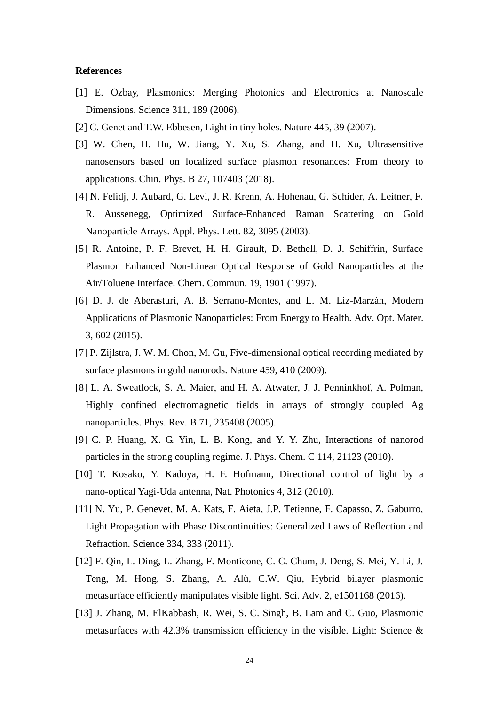# **References**

- [1] E. Ozbay, Plasmonics: Merging Photonics and Electronics at Nanoscale Dimensions. Science 311, 189 (2006).
- [2] C. Genet and T.W. Ebbesen, Light in tiny holes. Nature 445, 39 (2007).
- [3] W. Chen, H. Hu, W. Jiang, Y. Xu, S. Zhang, and H. Xu, Ultrasensitive nanosensors based on localized surface plasmon resonances: From theory to applications. Chin. Phys. B 27, 107403 (2018).
- [4] N. Felidj, J. Aubard, G. Levi, J. R. Krenn, A. Hohenau, G. Schider, A. Leitner, F. R. Aussenegg, Optimized Surface-Enhanced Raman Scattering on Gold Nanoparticle Arrays. Appl. Phys. Lett. 82, 3095 (2003).
- [5] R. Antoine, P. F. Brevet, H. H. Girault, D. Bethell, D. J. Schiffrin, Surface Plasmon Enhanced Non-Linear Optical Response of Gold Nanoparticles at the Air/Toluene Interface. Chem. Commun. 19, 1901 (1997).
- [6] D. J. de Aberasturi, A. B. Serrano-Montes, and L. M. Liz-Marzán, Modern Applications of Plasmonic Nanoparticles: From Energy to Health. Adv. Opt. Mater. 3, 602 (2015).
- [7] P. Zijlstra, J. W. M. Chon, M. Gu, Five-dimensional optical recording mediated by surface plasmons in gold nanorods. Nature 459, 410 (2009).
- [8] L. A. Sweatlock, S. A. Maier, and H. A. Atwater, J. J. Penninkhof, A. Polman, Highly confined electromagnetic fields in arrays of strongly coupled Ag nanoparticles. Phys. Rev. B 71, 235408 (2005).
- [9] C. P. Huang, X. G. Yin, L. B. Kong, and Y. Y. Zhu, Interactions of nanorod particles in the strong coupling regime. J. Phys. Chem. C 114, 21123 (2010).
- [10] T. Kosako, Y. Kadoya, [H. F. Hofmann,](https://xueshu.baidu.com/s?wd=author%3A%28Holger%20F.%20Hofmann%29%20Graduate%20School%20of%20Advanced%20Sciences%20of%20Matter&tn=SE_baiduxueshu_c1gjeupa&ie=utf-8&sc_f_para=sc_hilight%3Dperson) Directional control of light by a nano-optical Yagi-Uda antenna, Nat. Photonics 4, 312 (2010).
- [11] N. Yu, P. Genevet, M. A. Kats, F. Aieta, J.P. Tetienne, F. Capasso, Z. Gaburro, Light Propagation with Phase Discontinuities: Generalized Laws of Reflection and Refraction. Science 334, 333 (2011).
- [12] F. Qin, L. Ding, L. Zhang, F. Monticone, C. C. Chum, J. Deng, S. Mei, Y. Li, J. Teng, M. Hong, S. Zhang, A. Alù, C.W. Qiu, Hybrid bilayer plasmonic metasurface efficiently manipulates visible light. Sci. Adv. 2, e1501168 (2016).
- [13] J. Zhang, M. ElKabbash, R. Wei, S. C. Singh, B. Lam and C. Guo, Plasmonic metasurfaces with 42.3% transmission efficiency in the visible. Light: Science  $\&$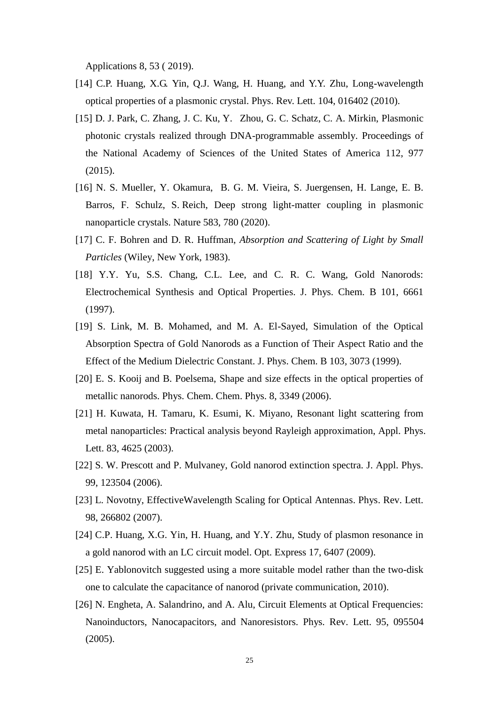Applications 8, 53 ( 2019).

- [14] C.P. Huang, X.G. Yin, Q.J. Wang, H. Huang, and Y.Y. Zhu, Long-wavelength optical properties of a plasmonic crystal. Phys. Rev. Lett. 104, 016402 (2010).
- [15] D. J. Park, C. Zhang, J. C. Ku, Y. Zhou, G. C. Schatz, C. A. Mirkin, Plasmonic photonic crystals realized through DNA-programmable assembly. Proceedings of the National Academy of Sciences of the United States of America 112, 977 (2015).
- [16] N. S. Mueller, Y. Okamura, B. G. M. Vieira, S. Juergensen, H. Lange, E. B. Barros, F. Schulz, S. Reich, Deep strong light-matter coupling in plasmonic nanoparticle crystals. Nature 583, 780 (2020).
- [17] C. F. Bohren and D. R. Huffman, *Absorption and Scattering of Light by Small Particles* (Wiley, New York, 1983).
- [18] Y.Y. Yu, S.S. Chang, C.L. Lee, and C. R. C. Wang, Gold Nanorods: Electrochemical Synthesis and Optical Properties. J. Phys. Chem. B 101, 6661 (1997).
- [19] S. Link, M. B. Mohamed, and M. A. El-Sayed, Simulation of the Optical Absorption Spectra of Gold Nanorods as a Function of Their Aspect Ratio and the Effect of the Medium Dielectric Constant. J. Phys. Chem. B 103*,* 3073 (1999).
- [20] E. S. Kooij and B. Poelsema, Shape and size effects in the optical properties of metallic nanorods. Phys. Chem. Chem. Phys. 8, 3349 (2006).
- [21] H. Kuwata, H. Tamaru, K. Esumi, K. Miyano, Resonant light scattering from metal nanoparticles: Practical analysis beyond Rayleigh approximation, Appl. Phys. Lett. 83, 4625 (2003).
- [22] S. W. Prescott and P. Mulvaney, Gold nanorod extinction spectra. J. Appl. Phys. 99, 123504 (2006).
- [23] L. Novotny, EffectiveWavelength Scaling for Optical Antennas. Phys. Rev. Lett. 98, 266802 (2007).
- [24] C.P. Huang, X.G. Yin, H. Huang, and Y.Y. Zhu, Study of plasmon resonance in a gold nanorod with an LC circuit model. Opt. Express 17, 6407 (2009).
- [25] E. Yablonovitch suggested using a more suitable model rather than the two-disk one to calculate the capacitance of nanorod (private communication, 2010).
- [26] N. Engheta, A. Salandrino, and A. Alu, Circuit Elements at Optical Frequencies: Nanoinductors, Nanocapacitors, and Nanoresistors. Phys. Rev. Lett. 95, 095504 (2005).